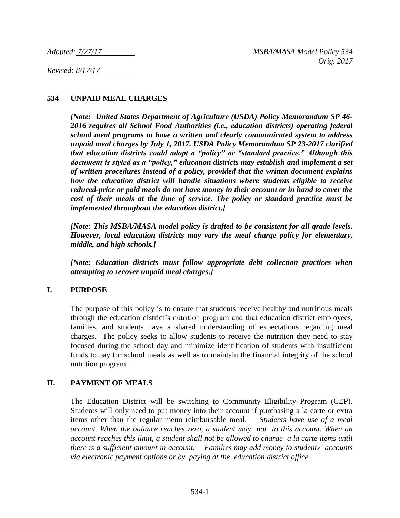*Revised: 8/17/17* 

## **534 UNPAID MEAL CHARGES**

*[Note: United States Department of Agriculture (USDA) Policy Memorandum SP 46- 2016 requires all School Food Authorities (i.e., education districts) operating federal school meal programs to have a written and clearly communicated system to address unpaid meal charges by July 1, 2017. USDA Policy Memorandum SP 23-2017 clarified that education districts could adopt a "policy" or "standard practice." Although this document is styled as a "policy," education districts may establish and implement a set of written procedures instead of a policy, provided that the written document explains how the education district will handle situations where students eligible to receive reduced-price or paid meals do not have money in their account or in hand to cover the cost of their meals at the time of service. The policy or standard practice must be implemented throughout the education district.]*

*[Note: This MSBA/MASA model policy is drafted to be consistent for all grade levels. However, local education districts may vary the meal charge policy for elementary, middle, and high schools.]*

*[Note: Education districts must follow appropriate debt collection practices when attempting to recover unpaid meal charges.]*

### **I. PURPOSE**

The purpose of this policy is to ensure that students receive healthy and nutritious meals through the education district's nutrition program and that education district employees, families, and students have a shared understanding of expectations regarding meal charges. The policy seeks to allow students to receive the nutrition they need to stay focused during the school day and minimize identification of students with insufficient funds to pay for school meals as well as to maintain the financial integrity of the school nutrition program.

### **II. PAYMENT OF MEALS**

The Education District will be switching to Community Eligibility Program (CEP). Students will only need to put money into their account if purchasing a la carte or extra items other than the regular menu reimbursable meal. *Students have use of a meal account. When the balance reaches zero, a student may not to this account. When an account reaches this limit, a student shall not be allowed to charge a la carte items until there is a sufficient amount in account. Families may add money to students' accounts via electronic payment options or by paying at the education district office .*